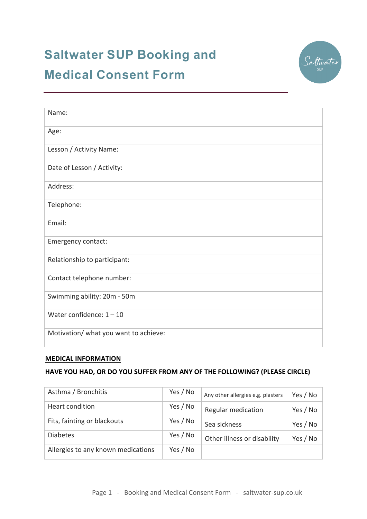# **Saltwater SUP Booking and Medical Consent Form**



| Name:                                 |
|---------------------------------------|
| Age:                                  |
| Lesson / Activity Name:               |
| Date of Lesson / Activity:            |
| Address:                              |
| Telephone:                            |
| Email:                                |
| Emergency contact:                    |
| Relationship to participant:          |
| Contact telephone number:             |
| Swimming ability: 20m - 50m           |
| Water confidence: $1 - 10$            |
| Motivation/ what you want to achieve: |

## **MEDICAL INFORMATION**

# **HAVE YOU HAD, OR DO YOU SUFFER FROM ANY OF THE FOLLOWING? (PLEASE CIRCLE)**

| Asthma / Bronchitis                | Yes / No | Any other allergies e.g. plasters | Yes / No |
|------------------------------------|----------|-----------------------------------|----------|
| Heart condition                    | Yes / No | <b>Regular medication</b>         | Yes / No |
| Fits, fainting or blackouts        | Yes / No | Sea sickness                      | Yes / No |
| <b>Diabetes</b>                    | Yes / No | Other illness or disability       | Yes / No |
| Allergies to any known medications | Yes / No |                                   |          |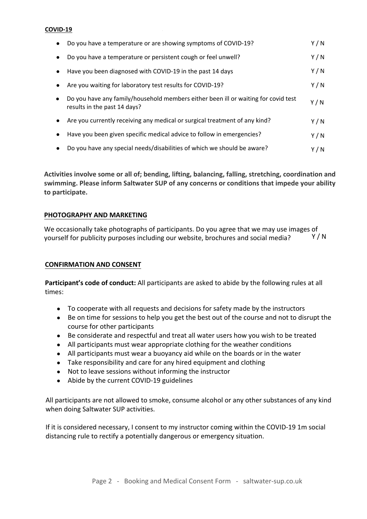#### **COVID-19**

|           | Do you have a temperature or are showing symptoms of COVID-19?                                                     | Y/N   |
|-----------|--------------------------------------------------------------------------------------------------------------------|-------|
|           | Do you have a temperature or persistent cough or feel unwell?                                                      | Y/N   |
|           | Have you been diagnosed with COVID-19 in the past 14 days                                                          | Y/N   |
|           | Are you waiting for laboratory test results for COVID-19?                                                          | Y/N   |
| $\bullet$ | Do you have any family/household members either been ill or waiting for covid test<br>results in the past 14 days? | Y / N |
| $\bullet$ | Are you currently receiving any medical or surgical treatment of any kind?                                         | Y/N   |
|           | Have you been given specific medical advice to follow in emergencies?                                              | Y/N   |
|           | Do you have any special needs/disabilities of which we should be aware?                                            | Y / N |

**Activities involve some or all of; bending, lifting, balancing, falling, stretching, coordination and swimming. Please inform Saltwater SUP of any concerns or conditions that impede your ability to participate.** 

### **PHOTOGRAPHY AND MARKETING**

We occasionally take photographs of participants. Do you agree that we may use images of yourself for publicity purposes including our website, brochures and social media?  $Y/N$ 

## **CONFIRMATION AND CONSENT**

**Participant's code of conduct:** All participants are asked to abide by the following rules at all times:

- To cooperate with all requests and decisions for safety made by the instructors
- Be on time for sessions to help you get the best out of the course and not to disrupt the course for other participants
- Be considerate and respectful and treat all water users how you wish to be treated
- All participants must wear appropriate clothing for the weather conditions
- All participants must wear a buoyancy aid while on the boards or in the water
- Take responsibility and care for any hired equipment and clothing
- Not to leave sessions without informing the instructor
- Abide by the current COVID-19 guidelines

All participants are not allowed to smoke, consume alcohol or any other substances of any kind when doing Saltwater SUP activities.

If it is considered necessary, I consent to my instructor coming within the COVID-19 1m social distancing rule to rectify a potentially dangerous or emergency situation.